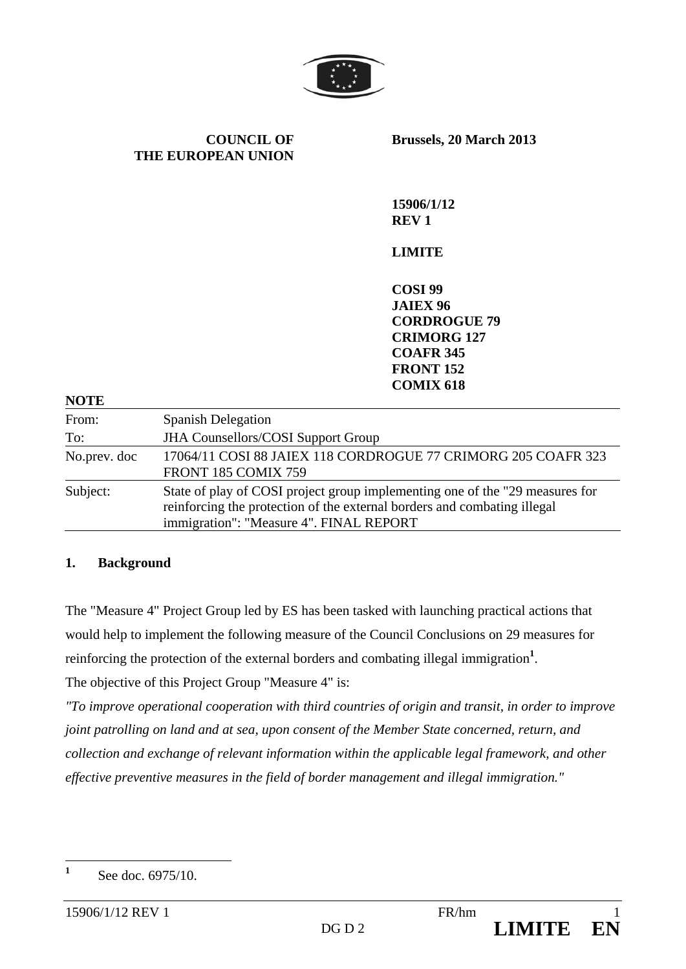

**COUNCIL OF THE EUROPEAN UNION** **Brussels, 20 March 2013** 

**15906/1/12 REV 1** 

# **LIMITE**

**COSI 99 JAIEX 96 CORDROGUE 79 CRIMORG 127 COAFR 345 FRONT 152 COMIX 618** 

| <b>NOTE</b>  |                                                                                                                                                                                                     |  |  |  |  |  |
|--------------|-----------------------------------------------------------------------------------------------------------------------------------------------------------------------------------------------------|--|--|--|--|--|
| From:        | <b>Spanish Delegation</b>                                                                                                                                                                           |  |  |  |  |  |
| To:          | <b>JHA Counsellors/COSI Support Group</b>                                                                                                                                                           |  |  |  |  |  |
| No.prev. doc | 17064/11 COSI 88 JAIEX 118 CORDROGUE 77 CRIMORG 205 COAFR 323<br>FRONT 185 COMIX 759                                                                                                                |  |  |  |  |  |
| Subject:     | State of play of COSI project group implementing one of the "29 measures for<br>reinforcing the protection of the external borders and combating illegal<br>immigration": "Measure 4". FINAL REPORT |  |  |  |  |  |

## **1. Background**

The "Measure 4" Project Group led by ES has been tasked with launching practical actions that would help to implement the following measure of the Council Conclusions on 29 measures for reinforcing the protection of the external borders and combating illegal immigration<sup>1</sup>.

The objective of this Project Group "Measure 4" is:

*"To improve operational cooperation with third countries of origin and transit, in order to improve joint patrolling on land and at sea, upon consent of the Member State concerned, return, and collection and exchange of relevant information within the applicable legal framework, and other effective preventive measures in the field of border management and illegal immigration."* 

 **1** See doc. 6975/10.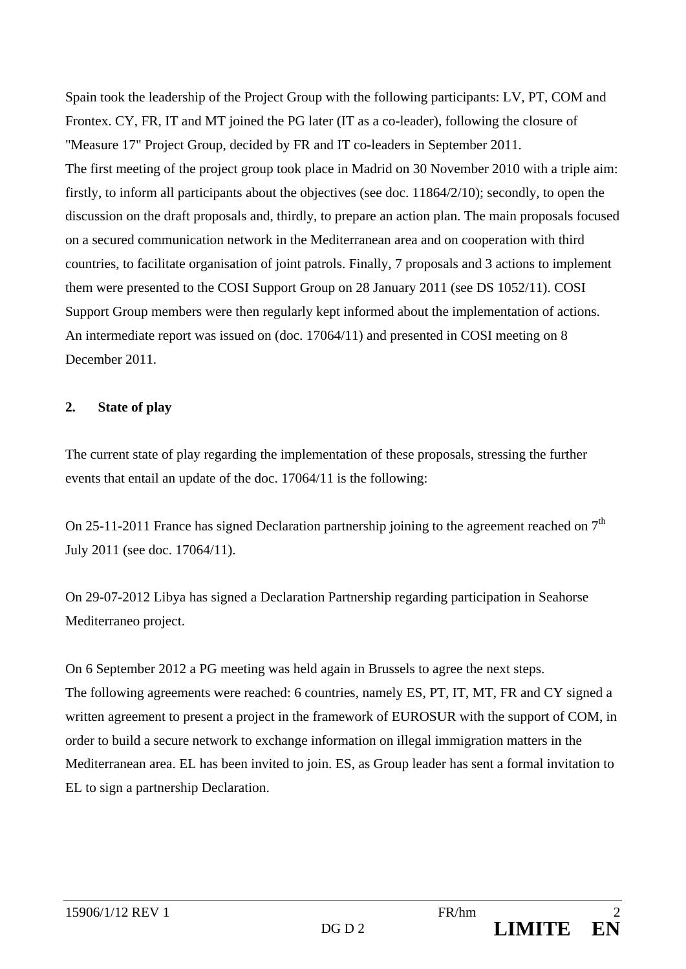Spain took the leadership of the Project Group with the following participants: LV, PT, COM and Frontex. CY, FR, IT and MT joined the PG later (IT as a co-leader), following the closure of "Measure 17" Project Group, decided by FR and IT co-leaders in September 2011. The first meeting of the project group took place in Madrid on 30 November 2010 with a triple aim: firstly, to inform all participants about the objectives (see doc. 11864/2/10); secondly, to open the discussion on the draft proposals and, thirdly, to prepare an action plan. The main proposals focused on a secured communication network in the Mediterranean area and on cooperation with third countries, to facilitate organisation of joint patrols. Finally, 7 proposals and 3 actions to implement them were presented to the COSI Support Group on 28 January 2011 (see DS 1052/11). COSI Support Group members were then regularly kept informed about the implementation of actions. An intermediate report was issued on (doc. 17064/11) and presented in COSI meeting on 8 December 2011.

#### **2. State of play**

The current state of play regarding the implementation of these proposals, stressing the further events that entail an update of the doc. 17064/11 is the following:

On 25-11-2011 France has signed Declaration partnership joining to the agreement reached on  $7<sup>th</sup>$ July 2011 (see doc. 17064/11).

On 29-07-2012 Libya has signed a Declaration Partnership regarding participation in Seahorse Mediterraneo project.

On 6 September 2012 a PG meeting was held again in Brussels to agree the next steps. The following agreements were reached: 6 countries, namely ES, PT, IT, MT, FR and CY signed a written agreement to present a project in the framework of EUROSUR with the support of COM, in order to build a secure network to exchange information on illegal immigration matters in the Mediterranean area. EL has been invited to join. ES, as Group leader has sent a formal invitation to EL to sign a partnership Declaration.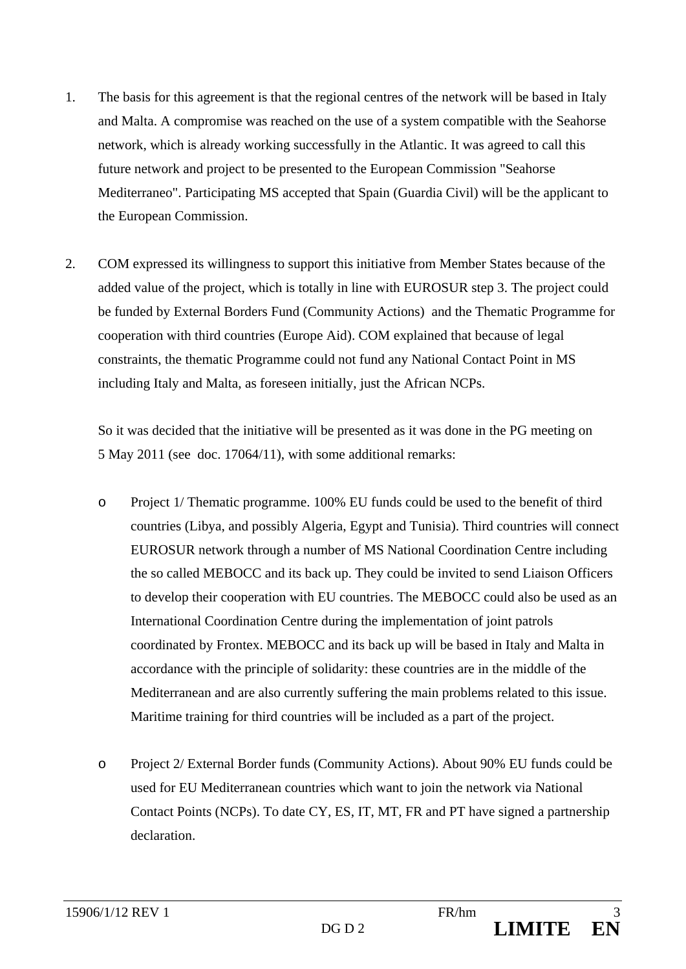- 1. The basis for this agreement is that the regional centres of the network will be based in Italy and Malta. A compromise was reached on the use of a system compatible with the Seahorse network, which is already working successfully in the Atlantic. It was agreed to call this future network and project to be presented to the European Commission "Seahorse Mediterraneo". Participating MS accepted that Spain (Guardia Civil) will be the applicant to the European Commission.
- 2. COM expressed its willingness to support this initiative from Member States because of the added value of the project, which is totally in line with EUROSUR step 3. The project could be funded by External Borders Fund (Community Actions) and the Thematic Programme for cooperation with third countries (Europe Aid). COM explained that because of legal constraints, the thematic Programme could not fund any National Contact Point in MS including Italy and Malta, as foreseen initially, just the African NCPs.

So it was decided that the initiative will be presented as it was done in the PG meeting on 5 May 2011 (see doc. 17064/11), with some additional remarks:

- o Project 1/ Thematic programme. 100% EU funds could be used to the benefit of third countries (Libya, and possibly Algeria, Egypt and Tunisia). Third countries will connect EUROSUR network through a number of MS National Coordination Centre including the so called MEBOCC and its back up. They could be invited to send Liaison Officers to develop their cooperation with EU countries. The MEBOCC could also be used as an International Coordination Centre during the implementation of joint patrols coordinated by Frontex. MEBOCC and its back up will be based in Italy and Malta in accordance with the principle of solidarity: these countries are in the middle of the Mediterranean and are also currently suffering the main problems related to this issue. Maritime training for third countries will be included as a part of the project.
- o Project 2/ External Border funds (Community Actions). About 90% EU funds could be used for EU Mediterranean countries which want to join the network via National Contact Points (NCPs). To date CY, ES, IT, MT, FR and PT have signed a partnership declaration.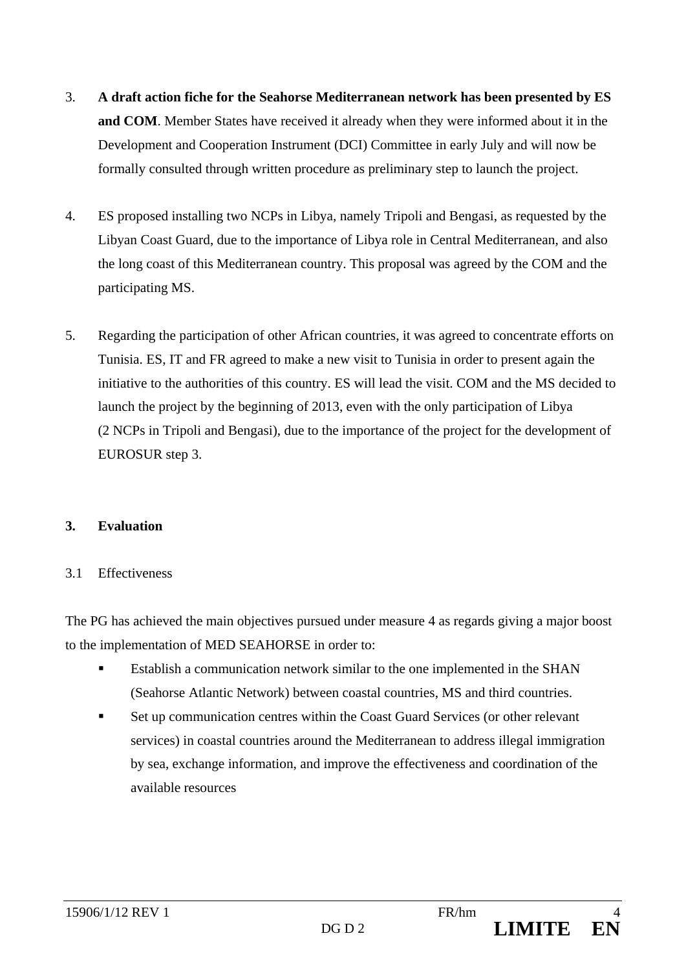- 3. **A draft action fiche for the Seahorse Mediterranean network has been presented by ES and COM**. Member States have received it already when they were informed about it in the Development and Cooperation Instrument (DCI) Committee in early July and will now be formally consulted through written procedure as preliminary step to launch the project.
- 4. ES proposed installing two NCPs in Libya, namely Tripoli and Bengasi, as requested by the Libyan Coast Guard, due to the importance of Libya role in Central Mediterranean, and also the long coast of this Mediterranean country. This proposal was agreed by the COM and the participating MS.
- 5. Regarding the participation of other African countries, it was agreed to concentrate efforts on Tunisia. ES, IT and FR agreed to make a new visit to Tunisia in order to present again the initiative to the authorities of this country. ES will lead the visit. COM and the MS decided to launch the project by the beginning of 2013, even with the only participation of Libya (2 NCPs in Tripoli and Bengasi), due to the importance of the project for the development of EUROSUR step 3.

## **3. Evaluation**

## 3.1 Effectiveness

The PG has achieved the main objectives pursued under measure 4 as regards giving a major boost to the implementation of MED SEAHORSE in order to:

- Establish a communication network similar to the one implemented in the SHAN (Seahorse Atlantic Network) between coastal countries, MS and third countries.
- Set up communication centres within the Coast Guard Services (or other relevant services) in coastal countries around the Mediterranean to address illegal immigration by sea, exchange information, and improve the effectiveness and coordination of the available resources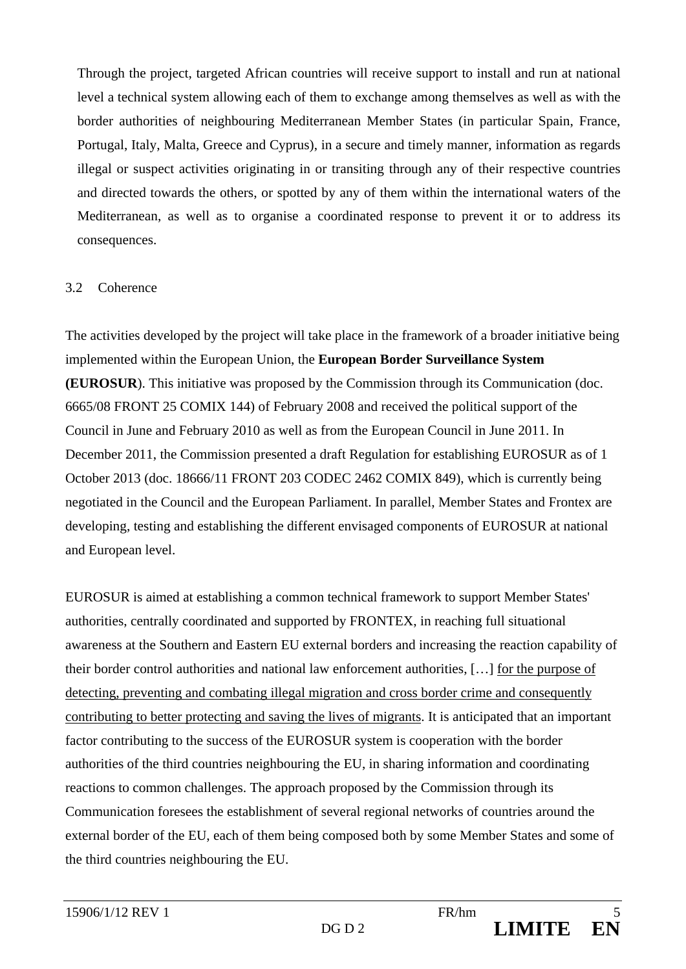Through the project, targeted African countries will receive support to install and run at national level a technical system allowing each of them to exchange among themselves as well as with the border authorities of neighbouring Mediterranean Member States (in particular Spain, France, Portugal, Italy, Malta, Greece and Cyprus), in a secure and timely manner, information as regards illegal or suspect activities originating in or transiting through any of their respective countries and directed towards the others, or spotted by any of them within the international waters of the Mediterranean, as well as to organise a coordinated response to prevent it or to address its consequences.

#### 3.2 Coherence

The activities developed by the project will take place in the framework of a broader initiative being implemented within the European Union, the **European Border Surveillance System (EUROSUR**). This initiative was proposed by the Commission through its Communication (doc. 6665/08 FRONT 25 COMIX 144) of February 2008 and received the political support of the Council in June and February 2010 as well as from the European Council in June 2011. In December 2011, the Commission presented a draft Regulation for establishing EUROSUR as of 1 October 2013 (doc. 18666/11 FRONT 203 CODEC 2462 COMIX 849), which is currently being negotiated in the Council and the European Parliament. In parallel, Member States and Frontex are developing, testing and establishing the different envisaged components of EUROSUR at national and European level.

EUROSUR is aimed at establishing a common technical framework to support Member States' authorities, centrally coordinated and supported by FRONTEX, in reaching full situational awareness at the Southern and Eastern EU external borders and increasing the reaction capability of their border control authorities and national law enforcement authorities, […] for the purpose of detecting, preventing and combating illegal migration and cross border crime and consequently contributing to better protecting and saving the lives of migrants. It is anticipated that an important factor contributing to the success of the EUROSUR system is cooperation with the border authorities of the third countries neighbouring the EU, in sharing information and coordinating reactions to common challenges. The approach proposed by the Commission through its Communication foresees the establishment of several regional networks of countries around the external border of the EU, each of them being composed both by some Member States and some of the third countries neighbouring the EU.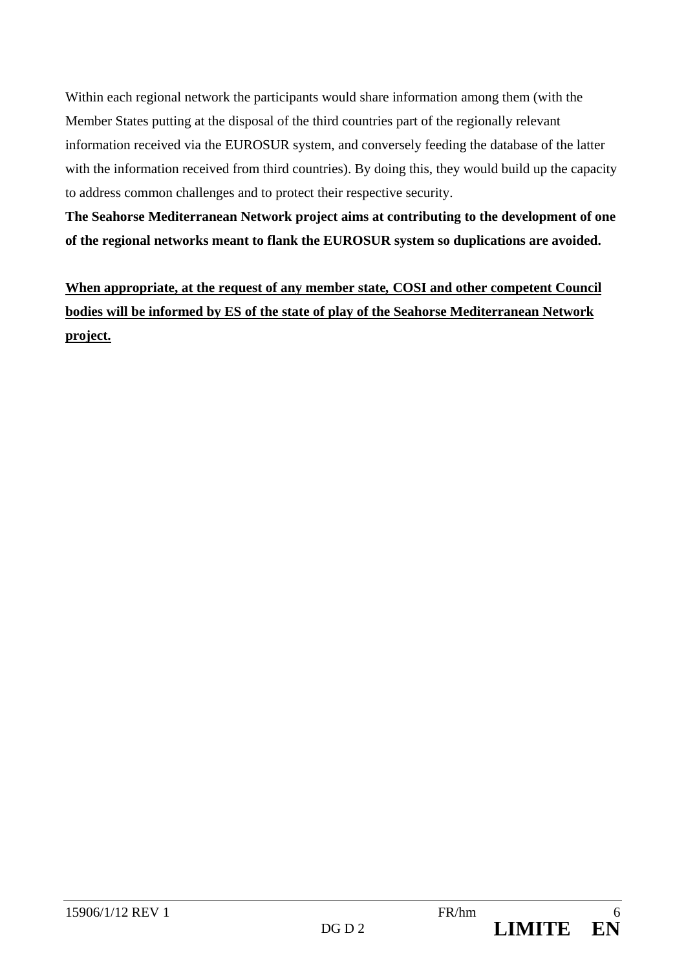Within each regional network the participants would share information among them (with the Member States putting at the disposal of the third countries part of the regionally relevant information received via the EUROSUR system, and conversely feeding the database of the latter with the information received from third countries). By doing this, they would build up the capacity to address common challenges and to protect their respective security.

**The Seahorse Mediterranean Network project aims at contributing to the development of one of the regional networks meant to flank the EUROSUR system so duplications are avoided.** 

**When appropriate, at the request of any member state***,* **COSI and other competent Council bodies will be informed by ES of the state of play of the Seahorse Mediterranean Network project.**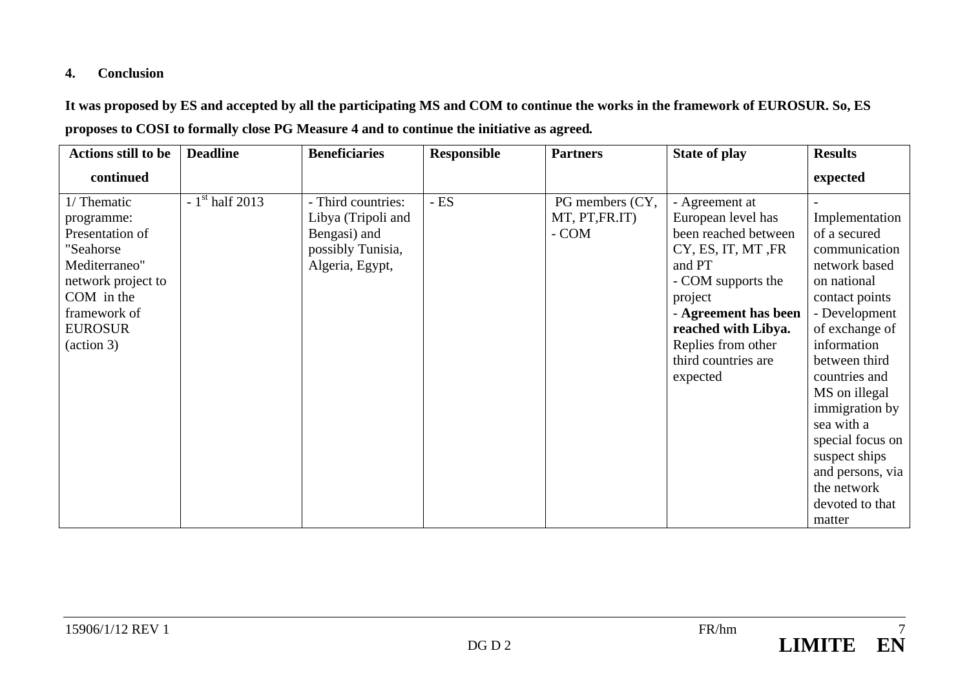## **4. Conclusion**

**It was proposed by ES and accepted by all the participating MS and COM to continue the works in the framework of EUROSUR. So, ES proposes to COSI to formally close PG Measure 4 and to continue the initiative as agreed***.* 

| <b>Actions still to be</b> | <b>Deadline</b>  | <b>Beneficiaries</b> | <b>Responsible</b> | <b>Partners</b> | <b>State of play</b> | <b>Results</b>   |
|----------------------------|------------------|----------------------|--------------------|-----------------|----------------------|------------------|
| continued                  |                  |                      |                    |                 |                      | expected         |
| 1/ Thematic                | $-1st$ half 2013 | - Third countries:   | $- ES$             | PG members (CY, | - Agreement at       |                  |
| programme:                 |                  | Libya (Tripoli and   |                    | MT, PT, FR.IT)  | European level has   | Implementation   |
| Presentation of            |                  | Bengasi) and         |                    | - COM           | been reached between | of a secured     |
| "Seahorse                  |                  | possibly Tunisia,    |                    |                 | CY, ES, IT, MT, FR   | communication    |
| Mediterraneo"              |                  | Algeria, Egypt,      |                    |                 | and PT               | network based    |
| network project to         |                  |                      |                    |                 | - COM supports the   | on national      |
| COM in the                 |                  |                      |                    |                 | project              | contact points   |
| framework of               |                  |                      |                    |                 | - Agreement has been | - Development    |
| <b>EUROSUR</b>             |                  |                      |                    |                 | reached with Libya.  | of exchange of   |
| $(\arctan 3)$              |                  |                      |                    |                 | Replies from other   | information      |
|                            |                  |                      |                    |                 | third countries are  | between third    |
|                            |                  |                      |                    |                 | expected             | countries and    |
|                            |                  |                      |                    |                 |                      | MS on illegal    |
|                            |                  |                      |                    |                 |                      | immigration by   |
|                            |                  |                      |                    |                 |                      | sea with a       |
|                            |                  |                      |                    |                 |                      | special focus on |
|                            |                  |                      |                    |                 |                      | suspect ships    |
|                            |                  |                      |                    |                 |                      | and persons, via |
|                            |                  |                      |                    |                 |                      | the network      |
|                            |                  |                      |                    |                 |                      | devoted to that  |
|                            |                  |                      |                    |                 |                      | matter           |

EN